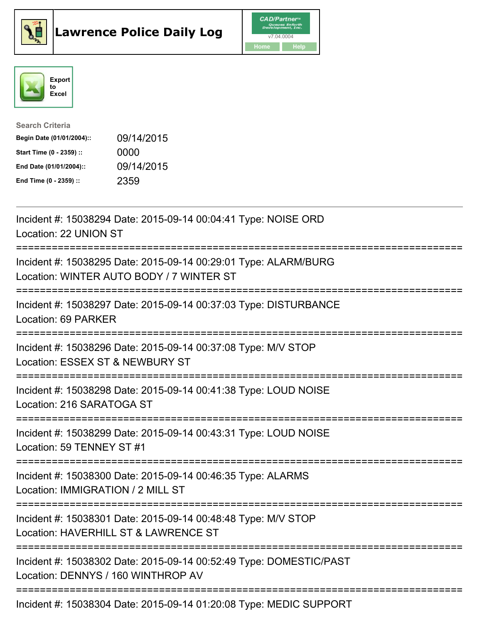





| <b>Search Criteria</b>    |            |
|---------------------------|------------|
| Begin Date (01/01/2004):: | 09/14/2015 |
| Start Time (0 - 2359) ::  | 0000       |
| End Date (01/01/2004)::   | 09/14/2015 |
| End Time (0 - 2359) ::    | 2359       |

| Incident #: 15038294 Date: 2015-09-14 00:04:41 Type: NOISE ORD<br>Location: 22 UNION ST                                              |
|--------------------------------------------------------------------------------------------------------------------------------------|
| Incident #: 15038295 Date: 2015-09-14 00:29:01 Type: ALARM/BURG<br>Location: WINTER AUTO BODY / 7 WINTER ST                          |
| Incident #: 15038297 Date: 2015-09-14 00:37:03 Type: DISTURBANCE<br><b>Location: 69 PARKER</b>                                       |
| Incident #: 15038296 Date: 2015-09-14 00:37:08 Type: M/V STOP<br>Location: ESSEX ST & NEWBURY ST                                     |
| Incident #: 15038298 Date: 2015-09-14 00:41:38 Type: LOUD NOISE<br>Location: 216 SARATOGA ST                                         |
| Incident #: 15038299 Date: 2015-09-14 00:43:31 Type: LOUD NOISE<br>Location: 59 TENNEY ST #1                                         |
| Incident #: 15038300 Date: 2015-09-14 00:46:35 Type: ALARMS<br>Location: IMMIGRATION / 2 MILL ST                                     |
| Incident #: 15038301 Date: 2015-09-14 00:48:48 Type: M/V STOP<br>Location: HAVERHILL ST & LAWRENCE ST<br>=========================== |
| Incident #: 15038302 Date: 2015-09-14 00:52:49 Type: DOMESTIC/PAST<br>Location: DENNYS / 160 WINTHROP AV                             |
| Incident #: 15038304 Date: 2015-09-14 01:20:08 Type: MEDIC SUPPORT                                                                   |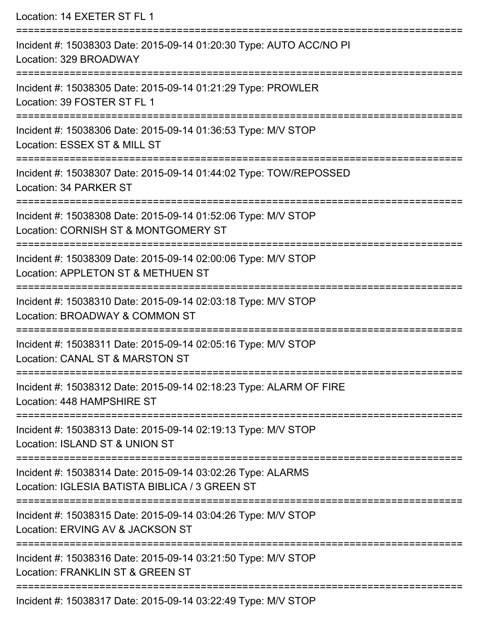| Location: 14 EXETER ST FL 1                                                                                                                               |
|-----------------------------------------------------------------------------------------------------------------------------------------------------------|
| Incident #: 15038303 Date: 2015-09-14 01:20:30 Type: AUTO ACC/NO PI<br>Location: 329 BROADWAY                                                             |
| Incident #: 15038305 Date: 2015-09-14 01:21:29 Type: PROWLER<br>Location: 39 FOSTER ST FL 1<br>:==================                                        |
| Incident #: 15038306 Date: 2015-09-14 01:36:53 Type: M/V STOP<br>Location: ESSEX ST & MILL ST                                                             |
| Incident #: 15038307 Date: 2015-09-14 01:44:02 Type: TOW/REPOSSED<br>Location: 34 PARKER ST                                                               |
| :==================================<br>Incident #: 15038308 Date: 2015-09-14 01:52:06 Type: M/V STOP<br>Location: CORNISH ST & MONTGOMERY ST              |
| Incident #: 15038309 Date: 2015-09-14 02:00:06 Type: M/V STOP<br>Location: APPLETON ST & METHUEN ST                                                       |
| =======================<br>===========================<br>Incident #: 15038310 Date: 2015-09-14 02:03:18 Type: M/V STOP<br>Location: BROADWAY & COMMON ST |
| Incident #: 15038311 Date: 2015-09-14 02:05:16 Type: M/V STOP<br>Location: CANAL ST & MARSTON ST                                                          |
| Incident #: 15038312 Date: 2015-09-14 02:18:23 Type: ALARM OF FIRE<br>Location: 448 HAMPSHIRE ST                                                          |
| Incident #: 15038313 Date: 2015-09-14 02:19:13 Type: M/V STOP<br>Location: ISLAND ST & UNION ST                                                           |
| Incident #: 15038314 Date: 2015-09-14 03:02:26 Type: ALARMS<br>Location: IGLESIA BATISTA BIBLICA / 3 GREEN ST                                             |
| Incident #: 15038315 Date: 2015-09-14 03:04:26 Type: M/V STOP<br>Location: ERVING AV & JACKSON ST                                                         |
| Incident #: 15038316 Date: 2015-09-14 03:21:50 Type: M/V STOP<br>Location: FRANKLIN ST & GREEN ST                                                         |
|                                                                                                                                                           |

Incident #: 15038317 Date: 2015-09-14 03:22:49 Type: M/V STOP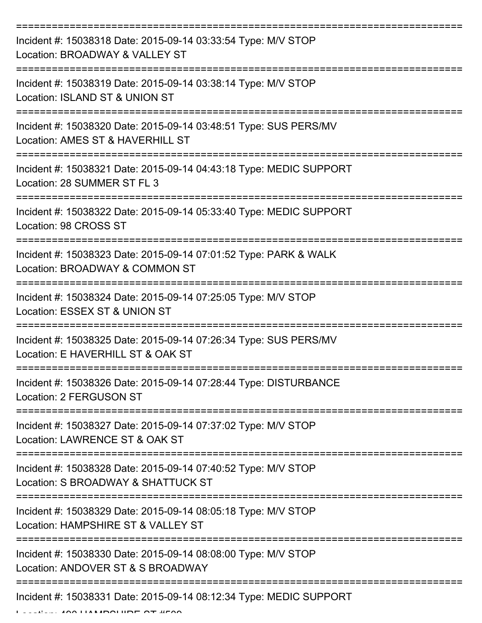| Incident #: 15038318 Date: 2015-09-14 03:33:54 Type: M/V STOP<br>Location: BROADWAY & VALLEY ST       |
|-------------------------------------------------------------------------------------------------------|
| Incident #: 15038319 Date: 2015-09-14 03:38:14 Type: M/V STOP<br>Location: ISLAND ST & UNION ST       |
| Incident #: 15038320 Date: 2015-09-14 03:48:51 Type: SUS PERS/MV<br>Location: AMES ST & HAVERHILL ST  |
| Incident #: 15038321 Date: 2015-09-14 04:43:18 Type: MEDIC SUPPORT<br>Location: 28 SUMMER ST FL 3     |
| Incident #: 15038322 Date: 2015-09-14 05:33:40 Type: MEDIC SUPPORT<br>Location: 98 CROSS ST           |
| Incident #: 15038323 Date: 2015-09-14 07:01:52 Type: PARK & WALK<br>Location: BROADWAY & COMMON ST    |
| Incident #: 15038324 Date: 2015-09-14 07:25:05 Type: M/V STOP<br>Location: ESSEX ST & UNION ST        |
| Incident #: 15038325 Date: 2015-09-14 07:26:34 Type: SUS PERS/MV<br>Location: E HAVERHILL ST & OAK ST |
| Incident #: 15038326 Date: 2015-09-14 07:28:44 Type: DISTURBANCE<br><b>Location: 2 FERGUSON ST</b>    |
| Incident #: 15038327 Date: 2015-09-14 07:37:02 Type: M/V STOP<br>Location: LAWRENCE ST & OAK ST       |
| Incident #: 15038328 Date: 2015-09-14 07:40:52 Type: M/V STOP<br>Location: S BROADWAY & SHATTUCK ST   |
| Incident #: 15038329 Date: 2015-09-14 08:05:18 Type: M/V STOP<br>Location: HAMPSHIRE ST & VALLEY ST   |
| Incident #: 15038330 Date: 2015-09-14 08:08:00 Type: M/V STOP<br>Location: ANDOVER ST & S BROADWAY    |
| Incident #: 15038331 Date: 2015-09-14 08:12:34 Type: MEDIC SUPPORT                                    |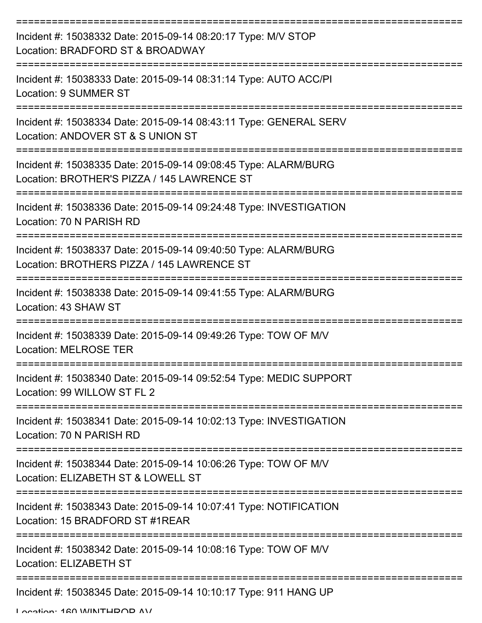| Incident #: 15038332 Date: 2015-09-14 08:20:17 Type: M/V STOP<br>Location: BRADFORD ST & BROADWAY              |
|----------------------------------------------------------------------------------------------------------------|
| Incident #: 15038333 Date: 2015-09-14 08:31:14 Type: AUTO ACC/PI<br><b>Location: 9 SUMMER ST</b>               |
| Incident #: 15038334 Date: 2015-09-14 08:43:11 Type: GENERAL SERV<br>Location: ANDOVER ST & S UNION ST         |
| Incident #: 15038335 Date: 2015-09-14 09:08:45 Type: ALARM/BURG<br>Location: BROTHER'S PIZZA / 145 LAWRENCE ST |
| Incident #: 15038336 Date: 2015-09-14 09:24:48 Type: INVESTIGATION<br>Location: 70 N PARISH RD                 |
| Incident #: 15038337 Date: 2015-09-14 09:40:50 Type: ALARM/BURG<br>Location: BROTHERS PIZZA / 145 LAWRENCE ST  |
| Incident #: 15038338 Date: 2015-09-14 09:41:55 Type: ALARM/BURG<br>Location: 43 SHAW ST                        |
| Incident #: 15038339 Date: 2015-09-14 09:49:26 Type: TOW OF M/V<br><b>Location: MELROSE TER</b>                |
| Incident #: 15038340 Date: 2015-09-14 09:52:54 Type: MEDIC SUPPORT<br>Location: 99 WILLOW ST FL 2              |
| Incident #: 15038341 Date: 2015-09-14 10:02:13 Type: INVESTIGATION<br>Location: 70 N PARISH RD                 |
| Incident #: 15038344 Date: 2015-09-14 10:06:26 Type: TOW OF M/V<br>Location: ELIZABETH ST & LOWELL ST          |
| Incident #: 15038343 Date: 2015-09-14 10:07:41 Type: NOTIFICATION<br>Location: 15 BRADFORD ST #1REAR           |
| Incident #: 15038342 Date: 2015-09-14 10:08:16 Type: TOW OF M/V<br>Location: ELIZABETH ST                      |
| Incident #: 15038345 Date: 2015-09-14 10:10:17 Type: 911 HANG UP                                               |

Location: 160 WINTHDOD AV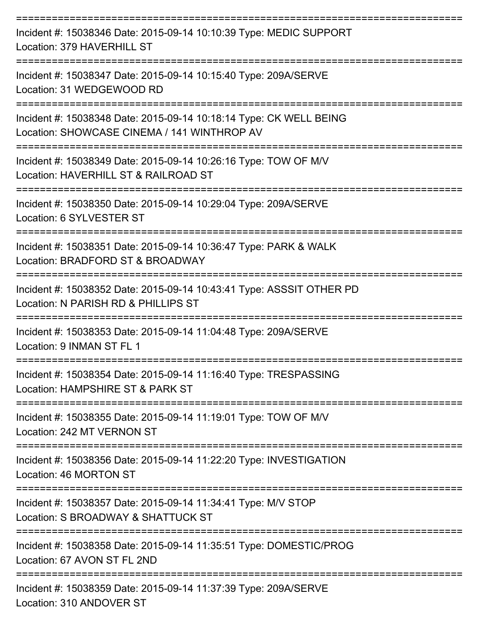| Incident #: 15038346 Date: 2015-09-14 10:10:39 Type: MEDIC SUPPORT<br>Location: 379 HAVERHILL ST                  |
|-------------------------------------------------------------------------------------------------------------------|
| Incident #: 15038347 Date: 2015-09-14 10:15:40 Type: 209A/SERVE<br>Location: 31 WEDGEWOOD RD                      |
| Incident #: 15038348 Date: 2015-09-14 10:18:14 Type: CK WELL BEING<br>Location: SHOWCASE CINEMA / 141 WINTHROP AV |
| Incident #: 15038349 Date: 2015-09-14 10:26:16 Type: TOW OF M/V<br>Location: HAVERHILL ST & RAILROAD ST           |
| Incident #: 15038350 Date: 2015-09-14 10:29:04 Type: 209A/SERVE<br>Location: 6 SYLVESTER ST                       |
| Incident #: 15038351 Date: 2015-09-14 10:36:47 Type: PARK & WALK<br>Location: BRADFORD ST & BROADWAY              |
| Incident #: 15038352 Date: 2015-09-14 10:43:41 Type: ASSSIT OTHER PD<br>Location: N PARISH RD & PHILLIPS ST       |
| Incident #: 15038353 Date: 2015-09-14 11:04:48 Type: 209A/SERVE<br>Location: 9 INMAN ST FL 1                      |
| Incident #: 15038354 Date: 2015-09-14 11:16:40 Type: TRESPASSING<br>Location: HAMPSHIRE ST & PARK ST              |
| Incident #: 15038355 Date: 2015-09-14 11:19:01 Type: TOW OF M/V<br>Location: 242 MT VERNON ST                     |
| Incident #: 15038356 Date: 2015-09-14 11:22:20 Type: INVESTIGATION<br>Location: 46 MORTON ST                      |
| Incident #: 15038357 Date: 2015-09-14 11:34:41 Type: M/V STOP<br>Location: S BROADWAY & SHATTUCK ST               |
| Incident #: 15038358 Date: 2015-09-14 11:35:51 Type: DOMESTIC/PROG<br>Location: 67 AVON ST FL 2ND                 |
| Incident #: 15038359 Date: 2015-09-14 11:37:39 Type: 209A/SERVE<br>Location: 310 ANDOVER ST                       |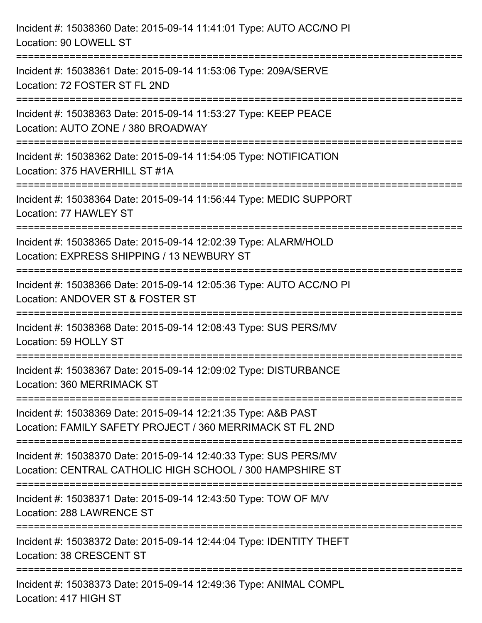| Incident #: 15038360 Date: 2015-09-14 11:41:01 Type: AUTO ACC/NO PI<br>Location: 90 LOWELL ST                                            |
|------------------------------------------------------------------------------------------------------------------------------------------|
| Incident #: 15038361 Date: 2015-09-14 11:53:06 Type: 209A/SERVE<br>Location: 72 FOSTER ST FL 2ND                                         |
| Incident #: 15038363 Date: 2015-09-14 11:53:27 Type: KEEP PEACE<br>Location: AUTO ZONE / 380 BROADWAY<br>:============================   |
| Incident #: 15038362 Date: 2015-09-14 11:54:05 Type: NOTIFICATION<br>Location: 375 HAVERHILL ST #1A                                      |
| Incident #: 15038364 Date: 2015-09-14 11:56:44 Type: MEDIC SUPPORT<br>Location: 77 HAWLEY ST                                             |
| Incident #: 15038365 Date: 2015-09-14 12:02:39 Type: ALARM/HOLD<br>Location: EXPRESS SHIPPING / 13 NEWBURY ST<br>;====================== |
| Incident #: 15038366 Date: 2015-09-14 12:05:36 Type: AUTO ACC/NO PI<br>Location: ANDOVER ST & FOSTER ST                                  |
| Incident #: 15038368 Date: 2015-09-14 12:08:43 Type: SUS PERS/MV<br>Location: 59 HOLLY ST                                                |
| Incident #: 15038367 Date: 2015-09-14 12:09:02 Type: DISTURBANCE<br>Location: 360 MERRIMACK ST                                           |
| Incident #: 15038369 Date: 2015-09-14 12:21:35 Type: A&B PAST<br>Location: FAMILY SAFETY PROJECT / 360 MERRIMACK ST FL 2ND               |
| Incident #: 15038370 Date: 2015-09-14 12:40:33 Type: SUS PERS/MV<br>Location: CENTRAL CATHOLIC HIGH SCHOOL / 300 HAMPSHIRE ST            |
| Incident #: 15038371 Date: 2015-09-14 12:43:50 Type: TOW OF M/V<br>Location: 288 LAWRENCE ST                                             |
| Incident #: 15038372 Date: 2015-09-14 12:44:04 Type: IDENTITY THEFT<br>Location: 38 CRESCENT ST                                          |
| Incident #: 15038373 Date: 2015-09-14 12:49:36 Type: ANIMAL COMPL<br>Location: 417 HIGH ST                                               |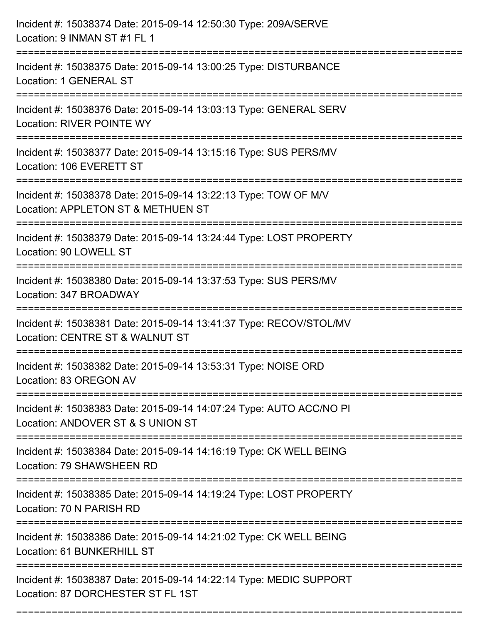| Incident #: 15038374 Date: 2015-09-14 12:50:30 Type: 209A/SERVE<br>Location: 9 INMAN ST #1 FL 1                           |
|---------------------------------------------------------------------------------------------------------------------------|
| Incident #: 15038375 Date: 2015-09-14 13:00:25 Type: DISTURBANCE<br>Location: 1 GENERAL ST                                |
| Incident #: 15038376 Date: 2015-09-14 13:03:13 Type: GENERAL SERV<br><b>Location: RIVER POINTE WY</b>                     |
| Incident #: 15038377 Date: 2015-09-14 13:15:16 Type: SUS PERS/MV<br>Location: 106 EVERETT ST                              |
| Incident #: 15038378 Date: 2015-09-14 13:22:13 Type: TOW OF M/V<br>Location: APPLETON ST & METHUEN ST<br>================ |
| Incident #: 15038379 Date: 2015-09-14 13:24:44 Type: LOST PROPERTY<br>Location: 90 LOWELL ST                              |
| Incident #: 15038380 Date: 2015-09-14 13:37:53 Type: SUS PERS/MV<br>Location: 347 BROADWAY                                |
| Incident #: 15038381 Date: 2015-09-14 13:41:37 Type: RECOV/STOL/MV<br>Location: CENTRE ST & WALNUT ST                     |
| Incident #: 15038382 Date: 2015-09-14 13:53:31 Type: NOISE ORD<br>Location: 83 OREGON AV                                  |
| Incident #: 15038383 Date: 2015-09-14 14:07:24 Type: AUTO ACC/NO PI<br>Location: ANDOVER ST & S UNION ST                  |
| Incident #: 15038384 Date: 2015-09-14 14:16:19 Type: CK WELL BEING<br>Location: 79 SHAWSHEEN RD                           |
| Incident #: 15038385 Date: 2015-09-14 14:19:24 Type: LOST PROPERTY<br>Location: 70 N PARISH RD                            |
| Incident #: 15038386 Date: 2015-09-14 14:21:02 Type: CK WELL BEING<br>Location: 61 BUNKERHILL ST                          |
| Incident #: 15038387 Date: 2015-09-14 14:22:14 Type: MEDIC SUPPORT<br>Location: 87 DORCHESTER ST FL 1ST                   |

===========================================================================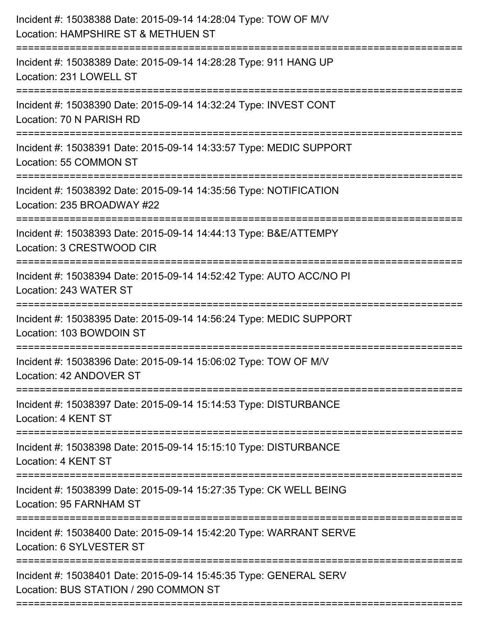| Incident #: 15038389 Date: 2015-09-14 14:28:28 Type: 911 HANG UP<br>Location: 231 LOWELL ST<br>Incident #: 15038390 Date: 2015-09-14 14:32:24 Type: INVEST CONT<br>Location: 70 N PARISH RD<br>Incident #: 15038391 Date: 2015-09-14 14:33:57 Type: MEDIC SUPPORT<br>Location: 55 COMMON ST<br>Incident #: 15038392 Date: 2015-09-14 14:35:56 Type: NOTIFICATION<br>Location: 235 BROADWAY #22<br>--------------------<br>Incident #: 15038393 Date: 2015-09-14 14:44:13 Type: B&E/ATTEMPY<br>Location: 3 CRESTWOOD CIR<br>Incident #: 15038394 Date: 2015-09-14 14:52:42 Type: AUTO ACC/NO PI<br>Location: 243 WATER ST<br>Incident #: 15038395 Date: 2015-09-14 14:56:24 Type: MEDIC SUPPORT<br>Location: 103 BOWDOIN ST<br>Incident #: 15038396 Date: 2015-09-14 15:06:02 Type: TOW OF M/V<br>Location: 42 ANDOVER ST<br>Incident #: 15038397 Date: 2015-09-14 15:14:53 Type: DISTURBANCE<br>Location: 4 KENT ST<br>Incident #: 15038398 Date: 2015-09-14 15:15:10 Type: DISTURBANCE<br>Location: 4 KENT ST<br>Incident #: 15038399 Date: 2015-09-14 15:27:35 Type: CK WELL BEING<br>Location: 95 FARNHAM ST<br>Incident #: 15038400 Date: 2015-09-14 15:42:20 Type: WARRANT SERVE<br>Location: 6 SYLVESTER ST<br>Incident #: 15038401 Date: 2015-09-14 15:45:35 Type: GENERAL SERV<br>Location: BUS STATION / 290 COMMON ST | Incident #: 15038388 Date: 2015-09-14 14:28:04 Type: TOW OF M/V<br>Location: HAMPSHIRE ST & METHUEN ST<br>--------------------------- |
|---------------------------------------------------------------------------------------------------------------------------------------------------------------------------------------------------------------------------------------------------------------------------------------------------------------------------------------------------------------------------------------------------------------------------------------------------------------------------------------------------------------------------------------------------------------------------------------------------------------------------------------------------------------------------------------------------------------------------------------------------------------------------------------------------------------------------------------------------------------------------------------------------------------------------------------------------------------------------------------------------------------------------------------------------------------------------------------------------------------------------------------------------------------------------------------------------------------------------------------------------------------------------------------------------------------------------------|---------------------------------------------------------------------------------------------------------------------------------------|
|                                                                                                                                                                                                                                                                                                                                                                                                                                                                                                                                                                                                                                                                                                                                                                                                                                                                                                                                                                                                                                                                                                                                                                                                                                                                                                                                 |                                                                                                                                       |
|                                                                                                                                                                                                                                                                                                                                                                                                                                                                                                                                                                                                                                                                                                                                                                                                                                                                                                                                                                                                                                                                                                                                                                                                                                                                                                                                 |                                                                                                                                       |
|                                                                                                                                                                                                                                                                                                                                                                                                                                                                                                                                                                                                                                                                                                                                                                                                                                                                                                                                                                                                                                                                                                                                                                                                                                                                                                                                 |                                                                                                                                       |
|                                                                                                                                                                                                                                                                                                                                                                                                                                                                                                                                                                                                                                                                                                                                                                                                                                                                                                                                                                                                                                                                                                                                                                                                                                                                                                                                 |                                                                                                                                       |
|                                                                                                                                                                                                                                                                                                                                                                                                                                                                                                                                                                                                                                                                                                                                                                                                                                                                                                                                                                                                                                                                                                                                                                                                                                                                                                                                 |                                                                                                                                       |
|                                                                                                                                                                                                                                                                                                                                                                                                                                                                                                                                                                                                                                                                                                                                                                                                                                                                                                                                                                                                                                                                                                                                                                                                                                                                                                                                 |                                                                                                                                       |
|                                                                                                                                                                                                                                                                                                                                                                                                                                                                                                                                                                                                                                                                                                                                                                                                                                                                                                                                                                                                                                                                                                                                                                                                                                                                                                                                 |                                                                                                                                       |
|                                                                                                                                                                                                                                                                                                                                                                                                                                                                                                                                                                                                                                                                                                                                                                                                                                                                                                                                                                                                                                                                                                                                                                                                                                                                                                                                 |                                                                                                                                       |
|                                                                                                                                                                                                                                                                                                                                                                                                                                                                                                                                                                                                                                                                                                                                                                                                                                                                                                                                                                                                                                                                                                                                                                                                                                                                                                                                 |                                                                                                                                       |
|                                                                                                                                                                                                                                                                                                                                                                                                                                                                                                                                                                                                                                                                                                                                                                                                                                                                                                                                                                                                                                                                                                                                                                                                                                                                                                                                 |                                                                                                                                       |
|                                                                                                                                                                                                                                                                                                                                                                                                                                                                                                                                                                                                                                                                                                                                                                                                                                                                                                                                                                                                                                                                                                                                                                                                                                                                                                                                 |                                                                                                                                       |
|                                                                                                                                                                                                                                                                                                                                                                                                                                                                                                                                                                                                                                                                                                                                                                                                                                                                                                                                                                                                                                                                                                                                                                                                                                                                                                                                 |                                                                                                                                       |
|                                                                                                                                                                                                                                                                                                                                                                                                                                                                                                                                                                                                                                                                                                                                                                                                                                                                                                                                                                                                                                                                                                                                                                                                                                                                                                                                 |                                                                                                                                       |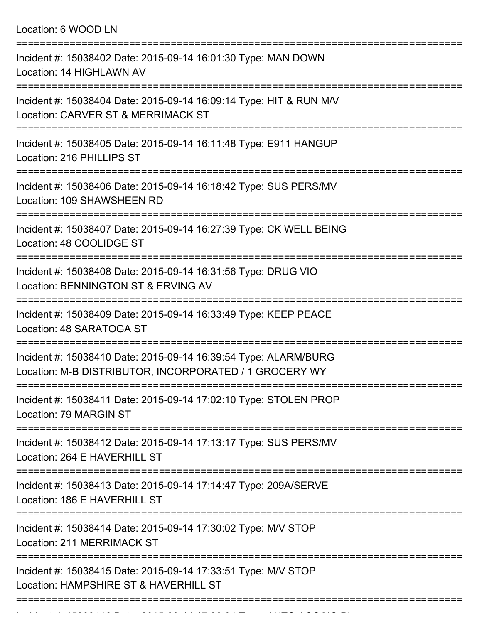Location: 6 WOOD LN

| Incident #: 15038402 Date: 2015-09-14 16:01:30 Type: MAN DOWN<br>Location: 14 HIGHLAWN AV                                 |
|---------------------------------------------------------------------------------------------------------------------------|
| Incident #: 15038404 Date: 2015-09-14 16:09:14 Type: HIT & RUN M/V<br>Location: CARVER ST & MERRIMACK ST                  |
| Incident #: 15038405 Date: 2015-09-14 16:11:48 Type: E911 HANGUP<br>Location: 216 PHILLIPS ST                             |
| Incident #: 15038406 Date: 2015-09-14 16:18:42 Type: SUS PERS/MV<br>Location: 109 SHAWSHEEN RD                            |
| Incident #: 15038407 Date: 2015-09-14 16:27:39 Type: CK WELL BEING<br>Location: 48 COOLIDGE ST<br>:============           |
| Incident #: 15038408 Date: 2015-09-14 16:31:56 Type: DRUG VIO<br>Location: BENNINGTON ST & ERVING AV<br>----------------  |
| Incident #: 15038409 Date: 2015-09-14 16:33:49 Type: KEEP PEACE<br>Location: 48 SARATOGA ST                               |
| Incident #: 15038410 Date: 2015-09-14 16:39:54 Type: ALARM/BURG<br>Location: M-B DISTRIBUTOR, INCORPORATED / 1 GROCERY WY |
| Incident #: 15038411 Date: 2015-09-14 17:02:10 Type: STOLEN PROP<br>Location: 79 MARGIN ST                                |
| Incident #: 15038412 Date: 2015-09-14 17:13:17 Type: SUS PERS/MV<br>Location: 264 E HAVERHILL ST                          |
| Incident #: 15038413 Date: 2015-09-14 17:14:47 Type: 209A/SERVE<br>Location: 186 E HAVERHILL ST                           |
| Incident #: 15038414 Date: 2015-09-14 17:30:02 Type: M/V STOP<br>Location: 211 MERRIMACK ST                               |
| Incident #: 15038415 Date: 2015-09-14 17:33:51 Type: M/V STOP<br>Location: HAMPSHIRE ST & HAVERHILL ST                    |
|                                                                                                                           |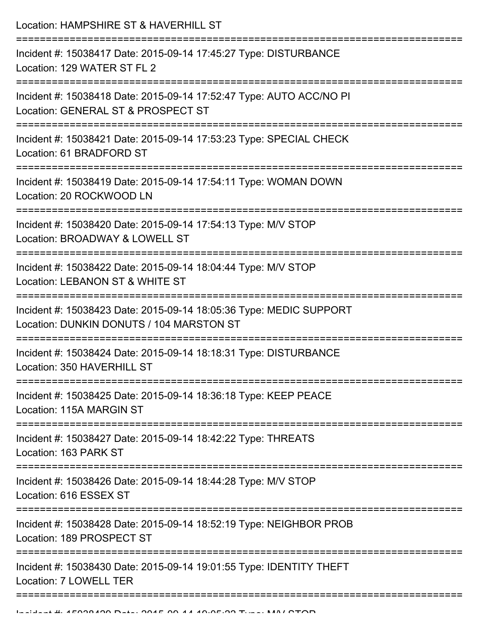| Location: HAMPSHIRE ST & HAVERHILL ST                                                                                                |
|--------------------------------------------------------------------------------------------------------------------------------------|
| Incident #: 15038417 Date: 2015-09-14 17:45:27 Type: DISTURBANCE<br>Location: 129 WATER ST FL 2                                      |
| Incident #: 15038418 Date: 2015-09-14 17:52:47 Type: AUTO ACC/NO PI<br>Location: GENERAL ST & PROSPECT ST                            |
| Incident #: 15038421 Date: 2015-09-14 17:53:23 Type: SPECIAL CHECK<br>Location: 61 BRADFORD ST<br>:================================= |
| Incident #: 15038419 Date: 2015-09-14 17:54:11 Type: WOMAN DOWN<br>Location: 20 ROCKWOOD LN                                          |
| Incident #: 15038420 Date: 2015-09-14 17:54:13 Type: M/V STOP<br>Location: BROADWAY & LOWELL ST                                      |
| Incident #: 15038422 Date: 2015-09-14 18:04:44 Type: M/V STOP<br>Location: LEBANON ST & WHITE ST                                     |
| Incident #: 15038423 Date: 2015-09-14 18:05:36 Type: MEDIC SUPPORT<br>Location: DUNKIN DONUTS / 104 MARSTON ST                       |
| Incident #: 15038424 Date: 2015-09-14 18:18:31 Type: DISTURBANCE<br>Location: 350 HAVERHILL ST                                       |
| Incident #: 15038425 Date: 2015-09-14 18:36:18 Type: KEEP PEACE<br>Location: 115A MARGIN ST                                          |
| Incident #: 15038427 Date: 2015-09-14 18:42:22 Type: THREATS<br>Location: 163 PARK ST                                                |
| Incident #: 15038426 Date: 2015-09-14 18:44:28 Type: M/V STOP<br>Location: 616 ESSEX ST                                              |
| Incident #: 15038428 Date: 2015-09-14 18:52:19 Type: NEIGHBOR PROB<br>Location: 189 PROSPECT ST                                      |
| Incident #: 15038430 Date: 2015-09-14 19:01:55 Type: IDENTITY THEFT<br>Location: 7 LOWELL TER                                        |
|                                                                                                                                      |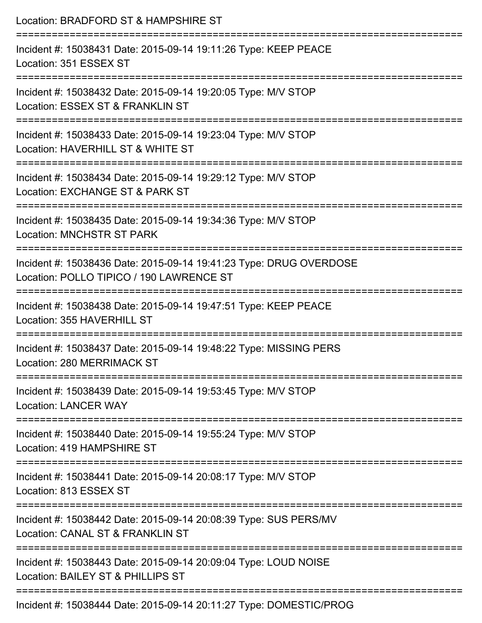| Location: BRADFORD ST & HAMPSHIRE ST                                                                                                                                      |
|---------------------------------------------------------------------------------------------------------------------------------------------------------------------------|
| Incident #: 15038431 Date: 2015-09-14 19:11:26 Type: KEEP PEACE<br>Location: 351 ESSEX ST<br>:============================                                                |
| Incident #: 15038432 Date: 2015-09-14 19:20:05 Type: M/V STOP<br>Location: ESSEX ST & FRANKLIN ST                                                                         |
| Incident #: 15038433 Date: 2015-09-14 19:23:04 Type: M/V STOP<br>Location: HAVERHILL ST & WHITE ST<br>:=============================                                      |
| Incident #: 15038434 Date: 2015-09-14 19:29:12 Type: M/V STOP<br>Location: EXCHANGE ST & PARK ST                                                                          |
| Incident #: 15038435 Date: 2015-09-14 19:34:36 Type: M/V STOP<br><b>Location: MNCHSTR ST PARK</b>                                                                         |
| Incident #: 15038436 Date: 2015-09-14 19:41:23 Type: DRUG OVERDOSE<br>Location: POLLO TIPICO / 190 LAWRENCE ST                                                            |
| :====================<br>Incident #: 15038438 Date: 2015-09-14 19:47:51 Type: KEEP PEACE<br>Location: 355 HAVERHILL ST                                                    |
| ===================================<br>-------------------------------<br>Incident #: 15038437 Date: 2015-09-14 19:48:22 Type: MISSING PERS<br>Location: 280 MERRIMACK ST |
| :==================================<br>Incident #: 15038439 Date: 2015-09-14 19:53:45 Type: M/V STOP<br><b>Location: LANCER WAY</b>                                       |
| Incident #: 15038440 Date: 2015-09-14 19:55:24 Type: M/V STOP<br>Location: 419 HAMPSHIRE ST                                                                               |
| Incident #: 15038441 Date: 2015-09-14 20:08:17 Type: M/V STOP<br>Location: 813 ESSEX ST                                                                                   |
| Incident #: 15038442 Date: 2015-09-14 20:08:39 Type: SUS PERS/MV<br>Location: CANAL ST & FRANKLIN ST                                                                      |
| Incident #: 15038443 Date: 2015-09-14 20:09:04 Type: LOUD NOISE<br>Location: BAILEY ST & PHILLIPS ST                                                                      |
| Incident #: 15038444 Date: 2015-09-14 20:11:27 Type: DOMESTIC/PROG                                                                                                        |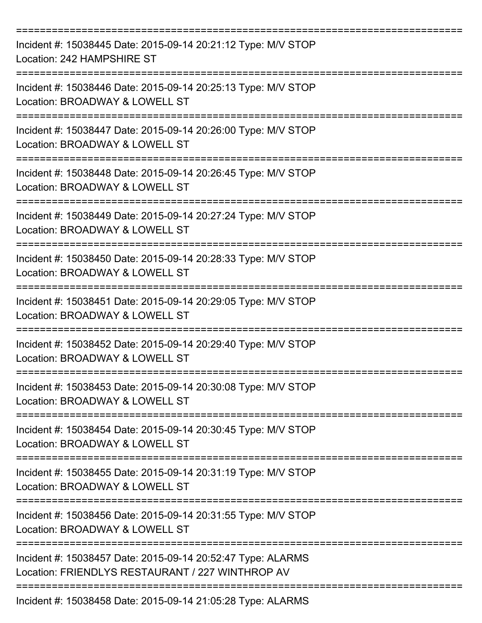| Incident #: 15038445 Date: 2015-09-14 20:21:12 Type: M/V STOP<br>Location: 242 HAMPSHIRE ST                     |
|-----------------------------------------------------------------------------------------------------------------|
| Incident #: 15038446 Date: 2015-09-14 20:25:13 Type: M/V STOP<br>Location: BROADWAY & LOWELL ST                 |
| Incident #: 15038447 Date: 2015-09-14 20:26:00 Type: M/V STOP<br>Location: BROADWAY & LOWELL ST                 |
| Incident #: 15038448 Date: 2015-09-14 20:26:45 Type: M/V STOP<br>Location: BROADWAY & LOWELL ST                 |
| Incident #: 15038449 Date: 2015-09-14 20:27:24 Type: M/V STOP<br>Location: BROADWAY & LOWELL ST                 |
| Incident #: 15038450 Date: 2015-09-14 20:28:33 Type: M/V STOP<br>Location: BROADWAY & LOWELL ST                 |
| Incident #: 15038451 Date: 2015-09-14 20:29:05 Type: M/V STOP<br>Location: BROADWAY & LOWELL ST                 |
| Incident #: 15038452 Date: 2015-09-14 20:29:40 Type: M/V STOP<br>Location: BROADWAY & LOWELL ST                 |
| Incident #: 15038453 Date: 2015-09-14 20:30:08 Type: M/V STOP<br>Location: BROADWAY & LOWELL ST                 |
| Incident #: 15038454 Date: 2015-09-14 20:30:45 Type: M/V STOP<br>Location: BROADWAY & LOWELL ST                 |
| Incident #: 15038455 Date: 2015-09-14 20:31:19 Type: M/V STOP<br>Location: BROADWAY & LOWELL ST                 |
| Incident #: 15038456 Date: 2015-09-14 20:31:55 Type: M/V STOP<br>Location: BROADWAY & LOWELL ST                 |
| Incident #: 15038457 Date: 2015-09-14 20:52:47 Type: ALARMS<br>Location: FRIENDLYS RESTAURANT / 227 WINTHROP AV |
| Incident #: 15038458 Date: 2015-09-14 21:05:28 Type: ALARMS                                                     |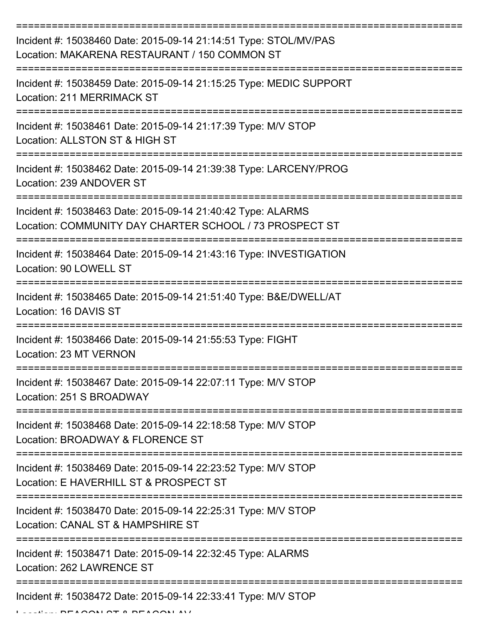| Incident #: 15038460 Date: 2015-09-14 21:14:51 Type: STOL/MV/PAS<br>Location: MAKARENA RESTAURANT / 150 COMMON ST                                             |
|---------------------------------------------------------------------------------------------------------------------------------------------------------------|
| Incident #: 15038459 Date: 2015-09-14 21:15:25 Type: MEDIC SUPPORT<br>Location: 211 MERRIMACK ST                                                              |
| Incident #: 15038461 Date: 2015-09-14 21:17:39 Type: M/V STOP<br>Location: ALLSTON ST & HIGH ST                                                               |
| Incident #: 15038462 Date: 2015-09-14 21:39:38 Type: LARCENY/PROG<br>Location: 239 ANDOVER ST                                                                 |
| Incident #: 15038463 Date: 2015-09-14 21:40:42 Type: ALARMS<br>Location: COMMUNITY DAY CHARTER SCHOOL / 73 PROSPECT ST<br>=================================== |
| Incident #: 15038464 Date: 2015-09-14 21:43:16 Type: INVESTIGATION<br>Location: 90 LOWELL ST                                                                  |
| Incident #: 15038465 Date: 2015-09-14 21:51:40 Type: B&E/DWELL/AT<br>Location: 16 DAVIS ST                                                                    |
| Incident #: 15038466 Date: 2015-09-14 21:55:53 Type: FIGHT<br>Location: 23 MT VERNON                                                                          |
| Incident #: 15038467 Date: 2015-09-14 22:07:11 Type: M/V STOP<br>Location: 251 S BROADWAY                                                                     |
| Incident #: 15038468 Date: 2015-09-14 22:18:58 Type: M/V STOP<br>Location: BROADWAY & FLORENCE ST                                                             |
| Incident #: 15038469 Date: 2015-09-14 22:23:52 Type: M/V STOP<br>Location: E HAVERHILL ST & PROSPECT ST                                                       |
| Incident #: 15038470 Date: 2015-09-14 22:25:31 Type: M/V STOP<br>Location: CANAL ST & HAMPSHIRE ST                                                            |
| Incident #: 15038471 Date: 2015-09-14 22:32:45 Type: ALARMS<br>Location: 262 LAWRENCE ST                                                                      |
| Incident #: 15038472 Date: 2015-09-14 22:33:41 Type: M/V STOP                                                                                                 |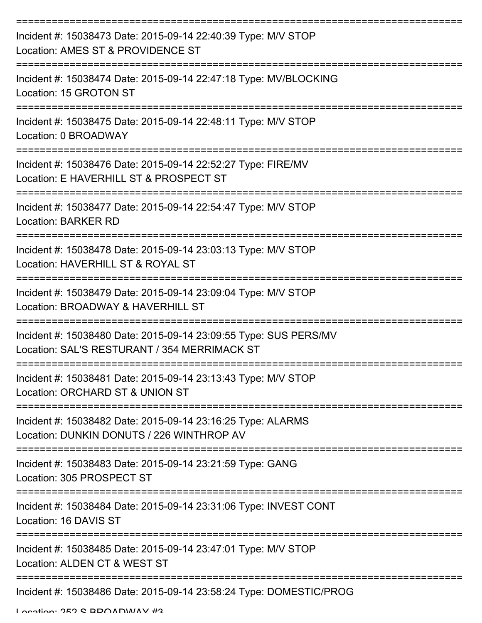| Incident #: 15038473 Date: 2015-09-14 22:40:39 Type: M/V STOP<br>Location: AMES ST & PROVIDENCE ST               |
|------------------------------------------------------------------------------------------------------------------|
| Incident #: 15038474 Date: 2015-09-14 22:47:18 Type: MV/BLOCKING<br>Location: 15 GROTON ST                       |
| Incident #: 15038475 Date: 2015-09-14 22:48:11 Type: M/V STOP<br>Location: 0 BROADWAY                            |
| Incident #: 15038476 Date: 2015-09-14 22:52:27 Type: FIRE/MV<br>Location: E HAVERHILL ST & PROSPECT ST           |
| Incident #: 15038477 Date: 2015-09-14 22:54:47 Type: M/V STOP<br><b>Location: BARKER RD</b>                      |
| Incident #: 15038478 Date: 2015-09-14 23:03:13 Type: M/V STOP<br>Location: HAVERHILL ST & ROYAL ST               |
| Incident #: 15038479 Date: 2015-09-14 23:09:04 Type: M/V STOP<br>Location: BROADWAY & HAVERHILL ST               |
| Incident #: 15038480 Date: 2015-09-14 23:09:55 Type: SUS PERS/MV<br>Location: SAL'S RESTURANT / 354 MERRIMACK ST |
| Incident #: 15038481 Date: 2015-09-14 23:13:43 Type: M/V STOP<br>Location: ORCHARD ST & UNION ST                 |
| Incident #: 15038482 Date: 2015-09-14 23:16:25 Type: ALARMS<br>Location: DUNKIN DONUTS / 226 WINTHROP AV         |
| Incident #: 15038483 Date: 2015-09-14 23:21:59 Type: GANG<br>Location: 305 PROSPECT ST                           |
| Incident #: 15038484 Date: 2015-09-14 23:31:06 Type: INVEST CONT<br>Location: 16 DAVIS ST                        |
| Incident #: 15038485 Date: 2015-09-14 23:47:01 Type: M/V STOP<br>Location: ALDEN CT & WEST ST                    |
| Incident #: 15038486 Date: 2015-09-14 23:58:24 Type: DOMESTIC/PROG                                               |

Location: 252 S BROADWAY #3